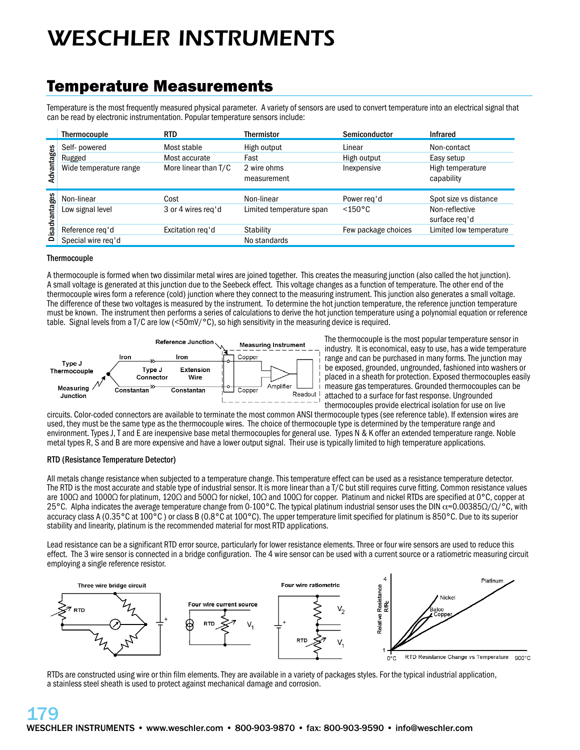# *WESCHLER INSTRUMENTS*

### Temperature Measurements

Temperature is the most frequently measured physical parameter. A variety of sensors are used to convert temperature into an electrical signal that can be read by electronic instrumentation. Popular temperature sensors include:

|               | Thermocouple           | RTD                  | Thermistor                 | Semiconductor       | <b>Infrared</b>                 |
|---------------|------------------------|----------------------|----------------------------|---------------------|---------------------------------|
| Advantages    | Self- powered          | Most stable          | High output                | Linear              | Non-contact                     |
|               | Rugged                 | Most accurate        | Fast                       | High output         | Easy setup                      |
|               | Wide temperature range | More linear than T/C | 2 wire ohms<br>measurement | Inexpensive         | High temperature<br>capability  |
| Disadvantages | Non-linear             | Cost                 | Non-linear                 | Power reg'd         | Spot size vs distance           |
|               | Low signal level       | 3 or 4 wires reg'd   | Limited temperature span   | $< 150^{\circ}$ C   | Non-reflective<br>surface reg'd |
|               | Reference reg'd        | Excitation reg'd     | <b>Stability</b>           | Few package choices | Limited low temperature         |
|               | Special wire reg'd     |                      | No standards               |                     |                                 |

### **Thermocouple**

A thermocouple is formed when two dissimilar metal wires are joined together. This creates the measuring junction (also called the hot junction). A small voltage is generated at this junction due to the Seebeck effect. This voltage changes as a function of temperature. The other end of the thermocouple wires form a reference (cold) junction where they connect to the measuring instrument. This junction also generates a small voltage. The difference of these two voltages is measured by the instrument. To determine the hot junction temperature, the reference junction temperature must be known. The instrument then performs a series of calculations to derive the hot junction temperature using a polynomial equation or reference table. Signal levels from a T/C are low (<50mV/°C), so high sensitivity in the measuring device is required.



The thermocouple is the most popular temperature sensor in industry. It is economical, easy to use, has a wide temperature range and can be purchased in many forms. The junction may be exposed, grounded, ungrounded, fashioned into washers or placed in a sheath for protection. Exposed thermocouples easily measure gas temperatures. Grounded thermocouples can be attached to a surface for fast response. Ungrounded thermocouples provide electrical isolation for use on live

circuits. Color-coded connectors are available to terminate the most common ANSI thermocouple types (see reference table). If extension wires are used, they must be the same type as the thermocouple wires. The choice of thermocouple type is determined by the temperature range and environment. Types J, T and E are inexpensive base metal thermocouples for general use. Types N & K offer an extended temperature range. Noble metal types R, S and B are more expensive and have a lower output signal. Their use is typically limited to high temperature applications.

### **RTD (Resistance Temperature Detector)**

All metals change resistance when subjected to a temperature change. This temperature effect can be used as a resistance temperature detector. The RTD is the most accurate and stable type of industrial sensor. It is more linear than a T/C but still requires curve fitting. Common resistance values are 100Ω and 1000Ω for platinum, 120Ω and 500Ω for nickel, 10Ω and 100Ω for copper. Platinum and nickel RTDs are specified at 0°C, copper at 25°C. Alpha indicates the average temperature change from 0-100°C. The typical platinum industrial sensor uses the DIN  $\alpha$ =0.00385 $\Omega/\Omega$ /°C, with accuracy class A (0.35°C at 100°C ) or class B (0.8°C at 100°C). The upper temperature limit specified for platinum is 850°C. Due to its superior stability and linearity, platinum is the recommended material for most RTD applications.

Lead resistance can be a significant RTD error source, particularly for lower resistance elements. Three or four wire sensors are used to reduce this effect. The 3 wire sensor is connected in a bridge configuration. The 4 wire sensor can be used with a current source or a ratiometric measuring circuit employing a single reference resistor.



RTDs are constructed using wire or thin film elements. They are available in a variety of packages styles. For the typical industrial application, a stainless steel sheath is used to protect against mechanical damage and corrosion.